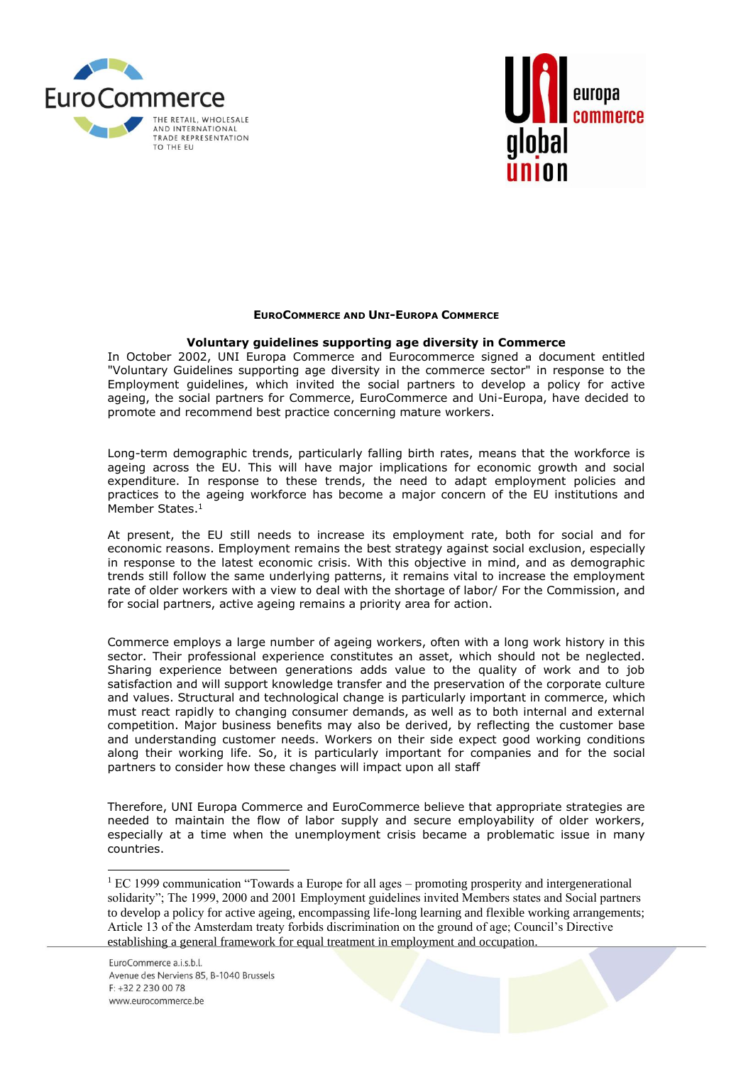



## **EUROCOMMERCE AND UNI-EUROPA COMMERCE**

## **Voluntary guidelines supporting age diversity in Commerce**

In October 2002, UNI Europa Commerce and Eurocommerce signed a document entitled "Voluntary Guidelines supporting age diversity in the commerce sector" in response to the Employment guidelines, which invited the social partners to develop a policy for active ageing, the social partners for Commerce, EuroCommerce and Uni-Europa, have decided to promote and recommend best practice concerning mature workers.

Long-term demographic trends, particularly falling birth rates, means that the workforce is ageing across the EU. This will have major implications for economic growth and social expenditure. In response to these trends, the need to adapt employment policies and practices to the ageing workforce has become a major concern of the EU institutions and Member States.<sup>1</sup>

At present, the EU still needs to increase its employment rate, both for social and for economic reasons. Employment remains the best strategy against social exclusion, especially in response to the latest economic crisis. With this objective in mind, and as demographic trends still follow the same underlying patterns, it remains vital to increase the employment rate of older workers with a view to deal with the shortage of labor/ For the Commission, and for social partners, active ageing remains a priority area for action.

Commerce employs a large number of ageing workers, often with a long work history in this sector. Their professional experience constitutes an asset, which should not be neglected. Sharing experience between generations adds value to the quality of work and to job satisfaction and will support knowledge transfer and the preservation of the corporate culture and values. Structural and technological change is particularly important in commerce, which must react rapidly to changing consumer demands, as well as to both internal and external competition. Major business benefits may also be derived, by reflecting the customer base and understanding customer needs. Workers on their side expect good working conditions along their working life. So, it is particularly important for companies and for the social partners to consider how these changes will impact upon all staff

Therefore, UNI Europa Commerce and EuroCommerce believe that appropriate strategies are needed to maintain the flow of labor supply and secure employability of older workers, especially at a time when the unemployment crisis became a problematic issue in many countries.

 $<sup>1</sup> EC$  1999 communication "Towards a Europe for all ages – promoting prosperity and intergenerational</sup> solidarity"; The 1999, 2000 and 2001 Employment guidelines invited Members states and Social partners to develop a policy for active ageing, encompassing life-long learning and flexible working arrangements; Article 13 of the Amsterdam treaty forbids discrimination on the ground of age; Council's Directive establishing a general framework for equal treatment in employment and occupation.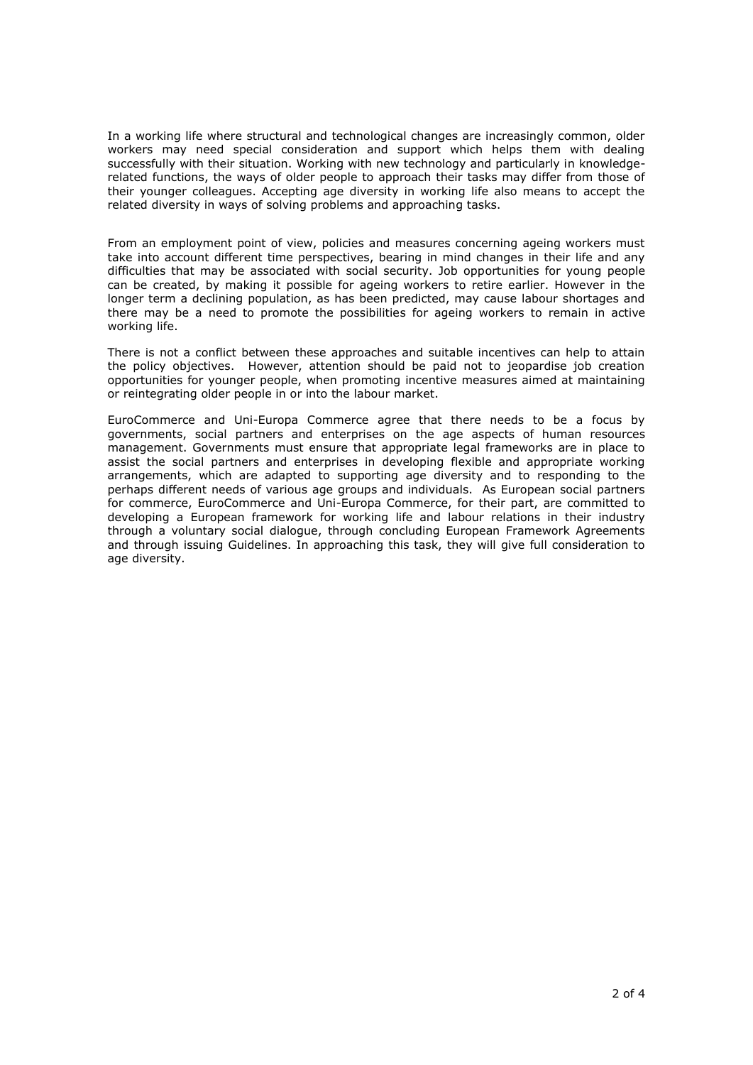In a working life where structural and technological changes are increasingly common, older workers may need special consideration and support which helps them with dealing successfully with their situation. Working with new technology and particularly in knowledgerelated functions, the ways of older people to approach their tasks may differ from those of their younger colleagues. Accepting age diversity in working life also means to accept the related diversity in ways of solving problems and approaching tasks.

From an employment point of view, policies and measures concerning ageing workers must take into account different time perspectives, bearing in mind changes in their life and any difficulties that may be associated with social security. Job opportunities for young people can be created, by making it possible for ageing workers to retire earlier. However in the longer term a declining population, as has been predicted, may cause labour shortages and there may be a need to promote the possibilities for ageing workers to remain in active working life.

There is not a conflict between these approaches and suitable incentives can help to attain the policy objectives. However, attention should be paid not to jeopardise job creation opportunities for younger people, when promoting incentive measures aimed at maintaining or reintegrating older people in or into the labour market.

EuroCommerce and Uni-Europa Commerce agree that there needs to be a focus by governments, social partners and enterprises on the age aspects of human resources management. Governments must ensure that appropriate legal frameworks are in place to assist the social partners and enterprises in developing flexible and appropriate working arrangements, which are adapted to supporting age diversity and to responding to the perhaps different needs of various age groups and individuals. As European social partners for commerce, EuroCommerce and Uni-Europa Commerce, for their part, are committed to developing a European framework for working life and labour relations in their industry through a voluntary social dialogue, through concluding European Framework Agreements and through issuing Guidelines. In approaching this task, they will give full consideration to age diversity.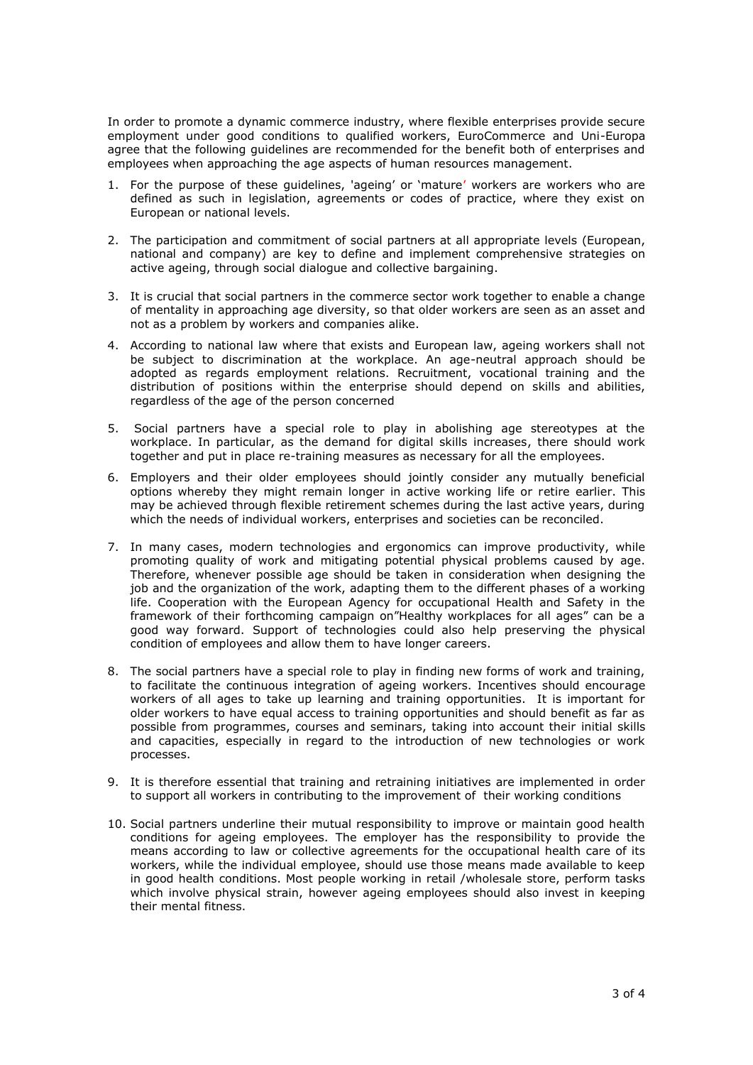In order to promote a dynamic commerce industry, where flexible enterprises provide secure employment under good conditions to qualified workers, EuroCommerce and Uni-Europa agree that the following guidelines are recommended for the benefit both of enterprises and employees when approaching the age aspects of human resources management.

- 1. For the purpose of these guidelines, 'ageing' or 'mature' workers are workers who are defined as such in legislation, agreements or codes of practice, where they exist on European or national levels.
- 2. The participation and commitment of social partners at all appropriate levels (European, national and company) are key to define and implement comprehensive strategies on active ageing, through social dialogue and collective bargaining.
- 3. It is crucial that social partners in the commerce sector work together to enable a change of mentality in approaching age diversity, so that older workers are seen as an asset and not as a problem by workers and companies alike.
- 4. According to national law where that exists and European law, ageing workers shall not be subject to discrimination at the workplace. An age-neutral approach should be adopted as regards employment relations. Recruitment, vocational training and the distribution of positions within the enterprise should depend on skills and abilities, regardless of the age of the person concerned
- 5. Social partners have a special role to play in abolishing age stereotypes at the workplace. In particular, as the demand for digital skills increases, there should work together and put in place re-training measures as necessary for all the employees.
- 6. Employers and their older employees should jointly consider any mutually beneficial options whereby they might remain longer in active working life or retire earlier. This may be achieved through flexible retirement schemes during the last active years, during which the needs of individual workers, enterprises and societies can be reconciled.
- 7. In many cases, modern technologies and ergonomics can improve productivity, while promoting quality of work and mitigating potential physical problems caused by age. Therefore, whenever possible age should be taken in consideration when designing the job and the organization of the work, adapting them to the different phases of a working life. Cooperation with the European Agency for occupational Health and Safety in the framework of their forthcoming campaign on"Healthy workplaces for all ages" can be a good way forward. Support of technologies could also help preserving the physical condition of employees and allow them to have longer careers.
- 8. The social partners have a special role to play in finding new forms of work and training, to facilitate the continuous integration of ageing workers. Incentives should encourage workers of all ages to take up learning and training opportunities. It is important for older workers to have equal access to training opportunities and should benefit as far as possible from programmes, courses and seminars, taking into account their initial skills and capacities, especially in regard to the introduction of new technologies or work processes.
- 9. It is therefore essential that training and retraining initiatives are implemented in order to support all workers in contributing to the improvement of their working conditions
- 10. Social partners underline their mutual responsibility to improve or maintain good health conditions for ageing employees. The employer has the responsibility to provide the means according to law or collective agreements for the occupational health care of its workers, while the individual employee, should use those means made available to keep in good health conditions. Most people working in retail /wholesale store, perform tasks which involve physical strain, however ageing employees should also invest in keeping their mental fitness.